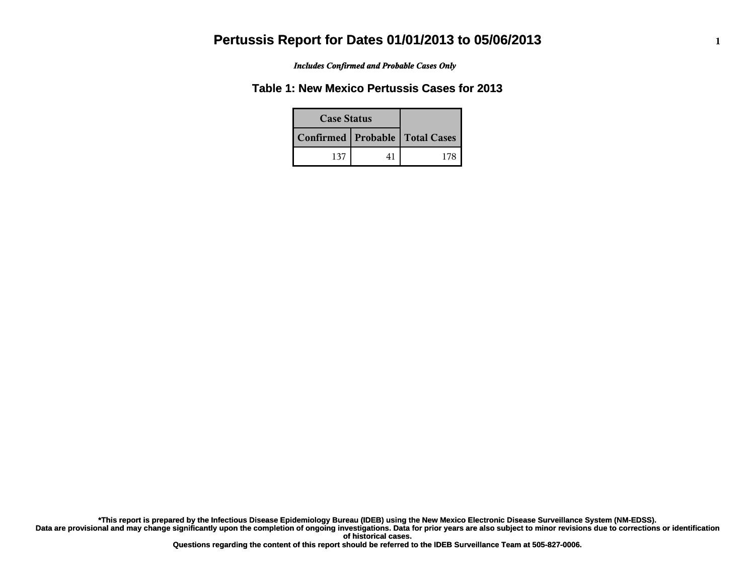*Includes Confirmed and Probable Cases Only*

#### **Table 1: New Mexico Pertussis Cases for 2013**

| <b>Case Status</b> |                                    |  |
|--------------------|------------------------------------|--|
|                    | Confirmed   Probable   Total Cases |  |
| 137                |                                    |  |

**Data are provisional and may change significantly upon the completion of ongoing investigations. Data for prior years are also subject to minor revisions due to corrections or identification of historical cases. \*This report is prepared by the Infectious Disease Epidemiology Bureau (IDEB) using the New Mexico Electronic Disease Surveillance System (NM-EDSS).**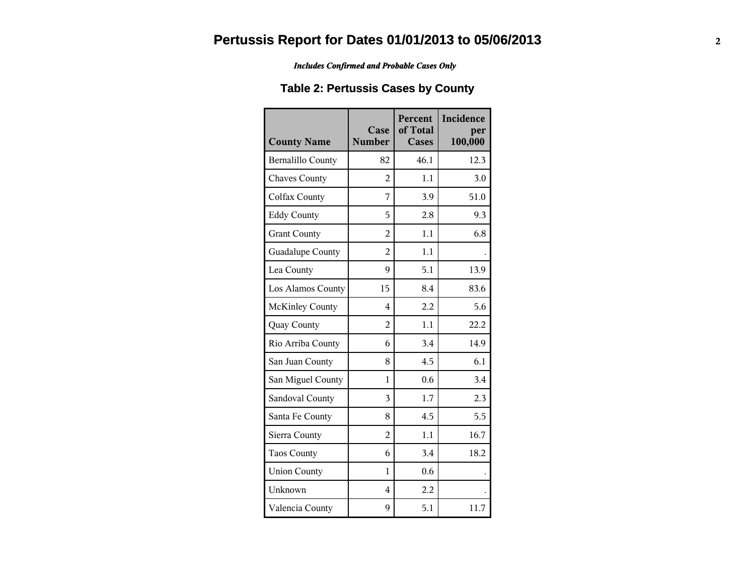*Includes Confirmed and Probable Cases Only*

## **Table 2: Pertussis Cases by County**

| <b>County Name</b>       | Case<br><b>Number</b> | Percent<br>of Total<br><b>Cases</b> | Incidence<br>per<br>100,000 |
|--------------------------|-----------------------|-------------------------------------|-----------------------------|
| <b>Bernalillo County</b> | 82                    | 46.1                                | 12.3                        |
| <b>Chaves County</b>     | $\overline{2}$        | 1.1                                 | 3.0                         |
| Colfax County            | 7                     | 3.9                                 | 51.0                        |
| <b>Eddy County</b>       | 5                     | 2.8                                 | 9.3                         |
| <b>Grant County</b>      | $\overline{2}$        | 1.1                                 | 6.8                         |
| Guadalupe County         | $\overline{2}$        | 1.1                                 |                             |
| Lea County               | 9                     | 5.1                                 | 13.9                        |
| Los Alamos County        | 15                    | 8.4                                 | 83.6                        |
| <b>McKinley County</b>   | 4                     | 2.2                                 | 5.6                         |
| Quay County              | $\overline{2}$        | 1.1                                 | 22.2                        |
| Rio Arriba County        | 6                     | 3.4                                 | 14.9                        |
| San Juan County          | 8                     | 4.5                                 | 6.1                         |
| San Miguel County        | 1                     | 0.6                                 | 3.4                         |
| Sandoval County          | 3                     | 1.7                                 | 2.3                         |
| Santa Fe County          | 8                     | 4.5                                 | 5.5                         |
| Sierra County            | $\overline{2}$        | 1.1                                 | 16.7                        |
| <b>Taos County</b>       | 6                     | 3.4                                 | 18.2                        |
| <b>Union County</b>      | 1                     | 0.6                                 |                             |
| Unknown                  | $\overline{4}$        | 2.2                                 |                             |
| Valencia County          | 9                     | 5.1                                 | 11.7                        |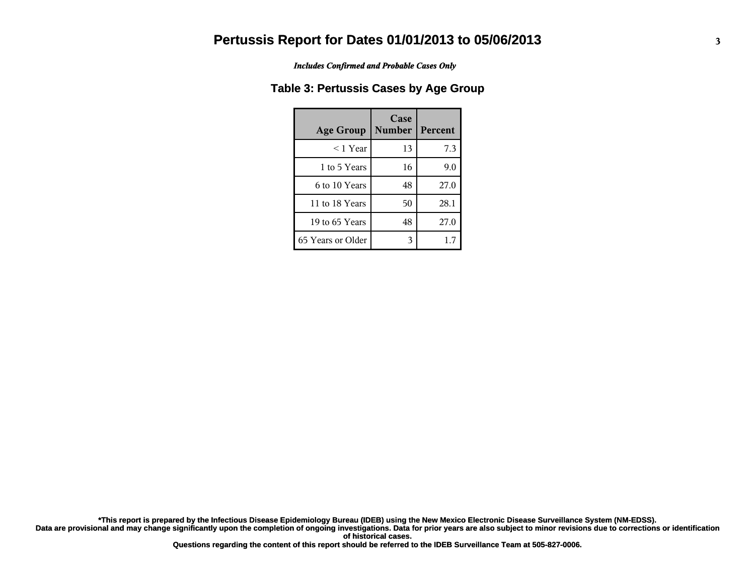*Includes Confirmed and Probable Cases Only*

#### **Table 3: Pertussis Cases by Age Group**

| <b>Age Group</b>  | Case<br><b>Number</b> | <b>Percent</b> |
|-------------------|-----------------------|----------------|
| $<$ 1 Year        | 13                    | 7.3            |
| 1 to 5 Years      | 16                    | 9.0            |
| 6 to 10 Years     | 48                    | 27.0           |
| 11 to 18 Years    | 50                    | 28.1           |
| 19 to 65 Years    | 48                    | 27.0           |
| 65 Years or Older | 3                     | 1.7            |

**Data are provisional and may change significantly upon the completion of ongoing investigations. Data for prior years are also subject to minor revisions due to corrections or identification of historical cases. \*This report is prepared by the Infectious Disease Epidemiology Bureau (IDEB) using the New Mexico Electronic Disease Surveillance System (NM-EDSS).**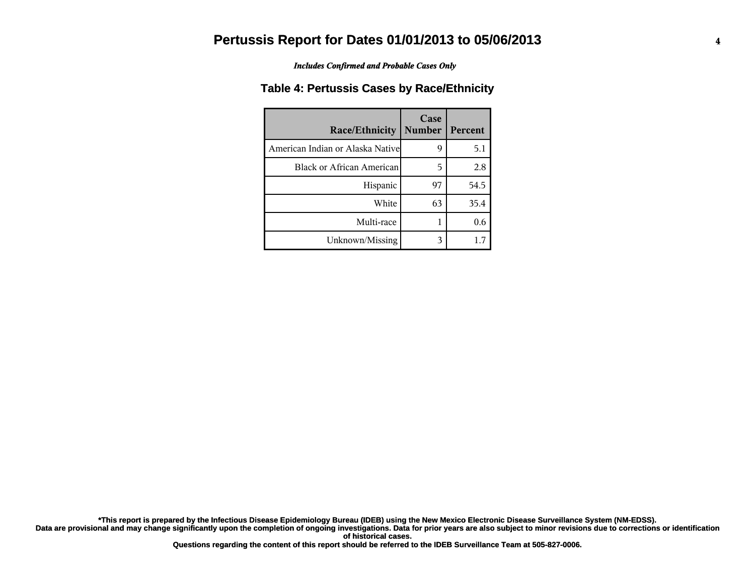*Includes Confirmed and Probable Cases Only*

#### **Table 4: Pertussis Cases by Race/Ethnicity**

| <b>Race/Ethnicity</b>             | Case<br><b>Number</b> | Percent |
|-----------------------------------|-----------------------|---------|
| American Indian or Alaska Nativel | 9                     | 5.1     |
| Black or African American         | 5                     | 2.8     |
| Hispanic                          | 97                    | 54.5    |
| White                             | 63                    | 35.4    |
| Multi-race                        |                       | 0.6     |
| Unknown/Missing                   | 3                     | 1.7     |

**Data are provisional and may change significantly upon the completion of ongoing investigations. Data for prior years are also subject to minor revisions due to corrections or identification \*This report is prepared by the Infectious Disease Epidemiology Bureau (IDEB) using the New Mexico Electronic Disease Surveillance System (NM-EDSS).**

**of historical cases.**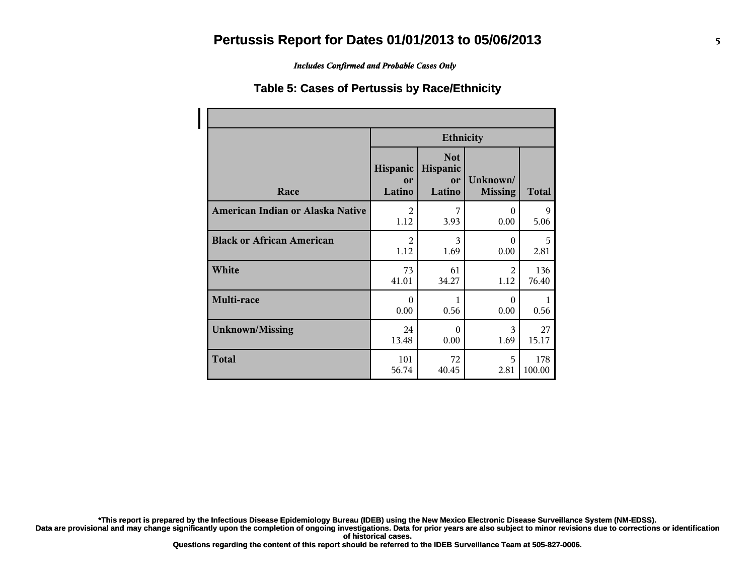*Includes Confirmed and Probable Cases Only*

#### **Table 5: Cases of Pertussis by Race/Ethnicity**

|                                  | <b>Ethnicity</b>         |                                        |                            |              |  |
|----------------------------------|--------------------------|----------------------------------------|----------------------------|--------------|--|
| Race                             | Hispanic<br>or<br>Latino | <b>Not</b><br>Hispanic<br>or<br>Latino | Unknown/<br><b>Missing</b> | <b>Total</b> |  |
| American Indian or Alaska Native | $\mathfrak{D}$           | 7                                      | $\Omega$                   | 9            |  |
|                                  | 1.12                     | 3.93                                   | 0.00                       | 5.06         |  |
| <b>Black or African American</b> | $\mathfrak{D}$           | 3                                      | $\Omega$                   | 5            |  |
|                                  | 1.12                     | 1.69                                   | 0.00                       | 2.81         |  |
| White                            | 73                       | 61                                     | 2                          | 136          |  |
|                                  | 41.01                    | 34.27                                  | 1.12                       | 76.40        |  |
| Multi-race                       | $\Omega$<br>0.00         | 1<br>0.56                              | $\Omega$<br>0.00           | 0.56         |  |
| <b>Unknown/Missing</b>           | 24                       | $\Omega$                               | 3                          | 27           |  |
|                                  | 13.48                    | 0.00                                   | 1.69                       | 15.17        |  |
| <b>Total</b>                     | 101                      | 72                                     | 5                          | 178          |  |
|                                  | 56.74                    | 40.45                                  | 2.81                       | 100.00       |  |

**\*This report is prepared by the Infectious Disease Epidemiology Bureau (IDEB) using the New Mexico Electronic Disease Surveillance System (NM-EDSS).**

**Data are provisional and may change significantly upon the completion of ongoing investigations. Data for prior years are also subject to minor revisions due to corrections or identification of historical cases.**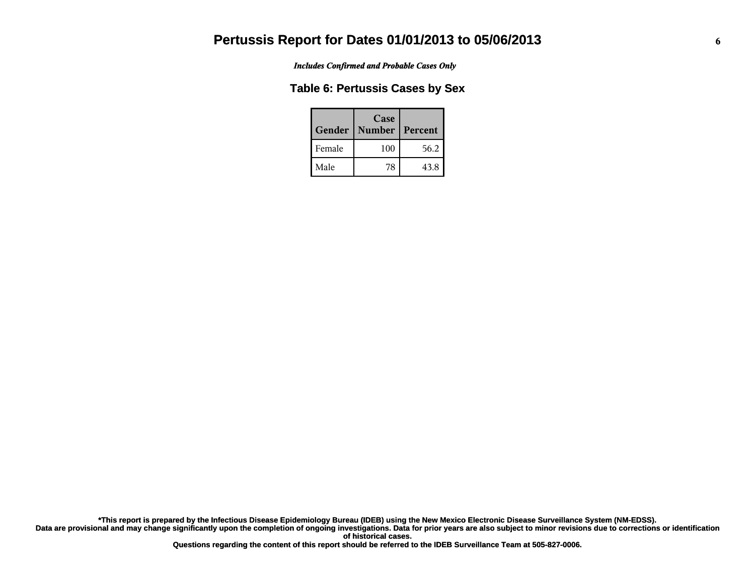*Includes Confirmed and Probable Cases Only*

#### **Table 6: Pertussis Cases by Sex**

| Gender | Case<br><b>Number</b> | Percent |
|--------|-----------------------|---------|
| Female | 100                   | 56.2    |
| Male   | 78                    | 43.8    |

**Data are provisional and may change significantly upon the completion of ongoing investigations. Data for prior years are also subject to minor revisions due to corrections or identification of historical cases. \*This report is prepared by the Infectious Disease Epidemiology Bureau (IDEB) using the New Mexico Electronic Disease Surveillance System (NM-EDSS).**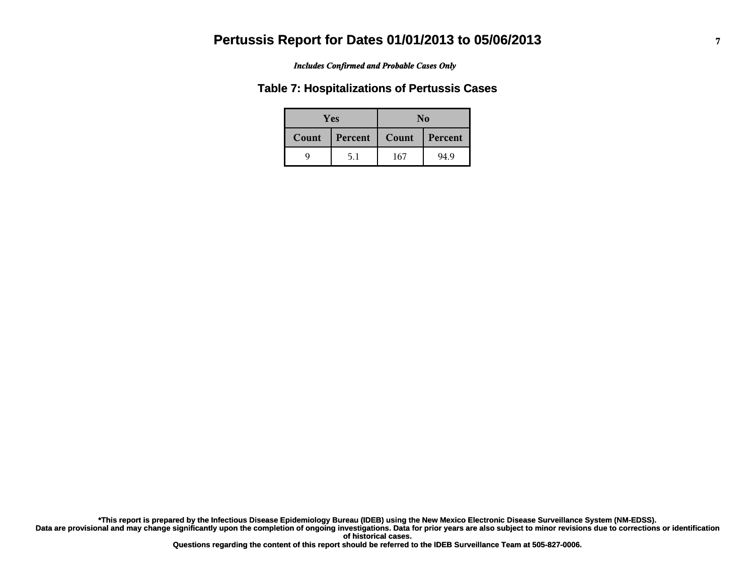#### *Includes Confirmed and Probable Cases Only*

#### **Table 7: Hospitalizations of Pertussis Cases**

|       | <b>Yes</b> | No    |         |
|-------|------------|-------|---------|
| Count | Percent    | Count | Percent |
| q     | 5.1        | 167   | 94.9    |

**Data are provisional and may change significantly upon the completion of ongoing investigations. Data for prior years are also subject to minor revisions due to corrections or identification of historical cases. \*This report is prepared by the Infectious Disease Epidemiology Bureau (IDEB) using the New Mexico Electronic Disease Surveillance System (NM-EDSS).**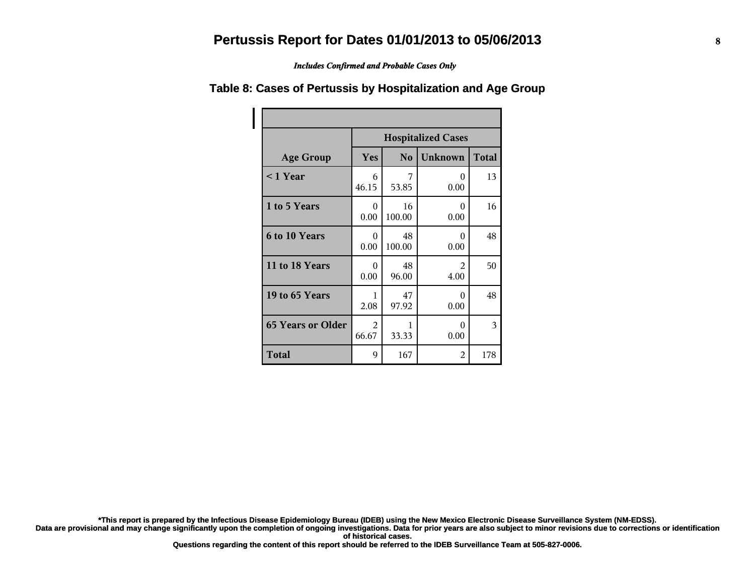*Includes Confirmed and Probable Cases Only*

## **Table 8: Cases of Pertussis by Hospitalization and Age Group**

|                          | <b>Hospitalized Cases</b>                               |              |                  |     |  |  |
|--------------------------|---------------------------------------------------------|--------------|------------------|-----|--|--|
| <b>Age Group</b>         | Yes<br><b>Unknown</b><br><b>Total</b><br>N <sub>o</sub> |              |                  |     |  |  |
| $<$ 1 Year               | 6<br>46.15                                              | 53.85        | 0<br>0.00        | 13  |  |  |
| 1 to 5 Years             | $\Omega$<br>0.00                                        | 16<br>100.00 | $\Omega$<br>0.00 | 16  |  |  |
| <b>6 to 10 Years</b>     | 0<br>0.00                                               | 48<br>100.00 | 0<br>0.00        | 48  |  |  |
| 11 to 18 Years           | 0<br>0.00                                               | 48<br>96.00  | 2<br>4.00        | 50  |  |  |
| 19 to 65 Years           | 1<br>2.08                                               | 47<br>97.92  | 0<br>0.00        | 48  |  |  |
| <b>65 Years or Older</b> | $\mathfrak{D}$<br>66.67                                 | 33.33        | 0<br>0.00        | 3   |  |  |
| <b>Total</b>             | 9                                                       | 167          | 2                | 178 |  |  |

**\*This report is prepared by the Infectious Disease Epidemiology Bureau (IDEB) using the New Mexico Electronic Disease Surveillance System (NM-EDSS).**

Data are provisional and may change significantly upon the completion of ongoing investigations. Data for prior years are also subject to minor revisions due to corrections or identification **of historical cases.**